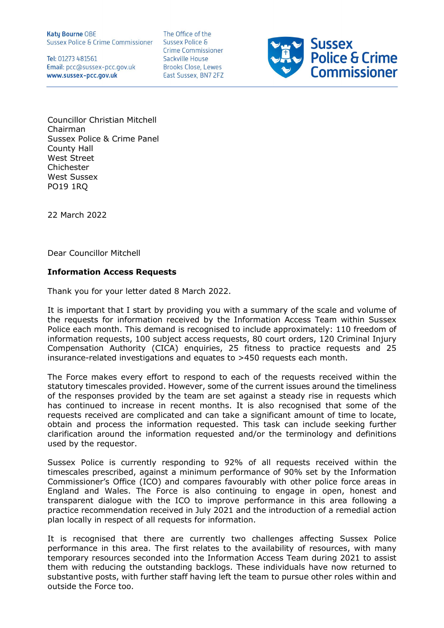**Katy Bourne OBE Sussex Police & Crime Commissioner** 

Tel: 01273 481561 Email: pcc@sussex-pcc.gov.uk www.sussex-pcc.gov.uk

The Office of the Sussex Police & **Crime Commissioner** Sackville House **Brooks Close, Lewes** East Sussex, BN7 2FZ



Councillor Christian Mitchell Chairman Sussex Police & Crime Panel County Hall West Street Chichester West Sussex PO19 1RQ

22 March 2022

Dear Councillor Mitchell

## Information Access Requests

Thank you for your letter dated 8 March 2022.

It is important that I start by providing you with a summary of the scale and volume of the requests for information received by the Information Access Team within Sussex Police each month. This demand is recognised to include approximately: 110 freedom of information requests, 100 subject access requests, 80 court orders, 120 Criminal Injury Compensation Authority (CICA) enquiries, 25 fitness to practice requests and 25 insurance-related investigations and equates to >450 requests each month.

The Force makes every effort to respond to each of the requests received within the statutory timescales provided. However, some of the current issues around the timeliness of the responses provided by the team are set against a steady rise in requests which has continued to increase in recent months. It is also recognised that some of the requests received are complicated and can take a significant amount of time to locate, obtain and process the information requested. This task can include seeking further clarification around the information requested and/or the terminology and definitions used by the requestor.

Sussex Police is currently responding to 92% of all requests received within the timescales prescribed, against a minimum performance of 90% set by the Information Commissioner's Office (ICO) and compares favourably with other police force areas in England and Wales. The Force is also continuing to engage in open, honest and transparent dialogue with the ICO to improve performance in this area following a practice recommendation received in July 2021 and the introduction of a remedial action plan locally in respect of all requests for information.

It is recognised that there are currently two challenges affecting Sussex Police performance in this area. The first relates to the availability of resources, with many temporary resources seconded into the Information Access Team during 2021 to assist them with reducing the outstanding backlogs. These individuals have now returned to substantive posts, with further staff having left the team to pursue other roles within and outside the Force too.